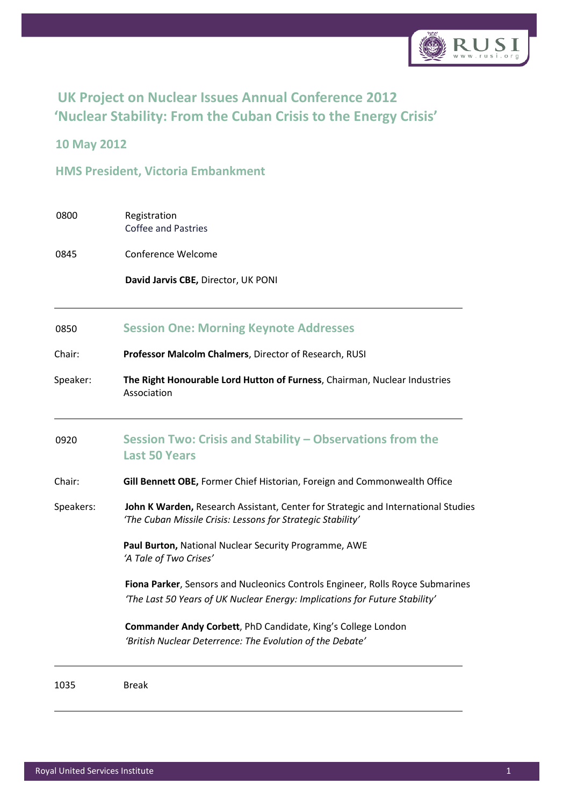

# **UK Project on Nuclear Issues Annual Conference 2012 'Nuclear Stability: From the Cuban Crisis to the Energy Crisis'**

### **10 May 2012**

**HMS President, Victoria Embankment**

| 0800 | Registration        |
|------|---------------------|
|      | Coffee and Pastries |
|      |                     |

0845 Conference Welcome

**David Jarvis CBE,** Director, UK PONI

#### 0850 **Session One: Morning Keynote Addresses**

Chair: **Professor Malcolm Chalmers**, Director of Research, RUSI

Speaker: **The Right Honourable Lord Hutton of Furness**, Chairman, Nuclear Industries Association

## 0920 **Session Two: Crisis and Stability – Observations from the Last 50 Years**

#### Chair: **Gill Bennett OBE,** Former Chief Historian, Foreign and Commonwealth Office

Speakers: **John K Warden,** Research Assistant, Center for Strategic and International Studies *'The Cuban Missile Crisis: Lessons for Strategic Stability'*

> **Paul Burton,** National Nuclear Security Programme, AWE *'A Tale of Two Crises'*

**Fiona Parker**, Sensors and Nucleonics Controls Engineer, Rolls Royce Submarines *'The Last 50 Years of UK Nuclear Energy: Implications for Future Stability'*

**Commander Andy Corbett**, PhD Candidate, King's College London *'British Nuclear Deterrence: The Evolution of the Debate'*

1035 Break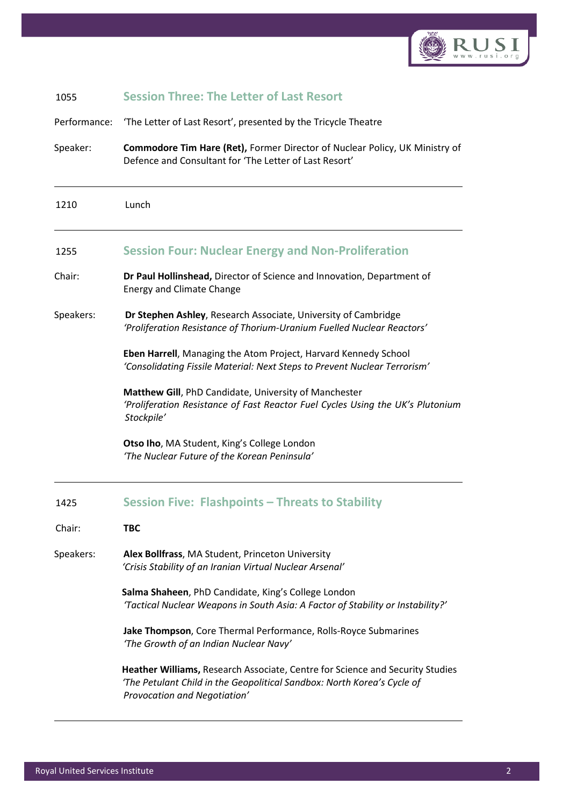

| 1055         | <b>Session Three: The Letter of Last Resort</b>                                                                                                                                                 |
|--------------|-------------------------------------------------------------------------------------------------------------------------------------------------------------------------------------------------|
| Performance: | 'The Letter of Last Resort', presented by the Tricycle Theatre                                                                                                                                  |
| Speaker:     | <b>Commodore Tim Hare (Ret), Former Director of Nuclear Policy, UK Ministry of</b><br>Defence and Consultant for 'The Letter of Last Resort'                                                    |
| 1210         | Lunch                                                                                                                                                                                           |
| 1255         | <b>Session Four: Nuclear Energy and Non-Proliferation</b>                                                                                                                                       |
| Chair:       | Dr Paul Hollinshead, Director of Science and Innovation, Department of<br><b>Energy and Climate Change</b>                                                                                      |
| Speakers:    | Dr Stephen Ashley, Research Associate, University of Cambridge<br>'Proliferation Resistance of Thorium-Uranium Fuelled Nuclear Reactors'                                                        |
|              | Eben Harrell, Managing the Atom Project, Harvard Kennedy School<br>'Consolidating Fissile Material: Next Steps to Prevent Nuclear Terrorism'                                                    |
|              | Matthew Gill, PhD Candidate, University of Manchester<br>'Proliferation Resistance of Fast Reactor Fuel Cycles Using the UK's Plutonium<br>Stockpile'                                           |
|              | Otso Iho, MA Student, King's College London<br>'The Nuclear Future of the Korean Peninsula'                                                                                                     |
| 1425         | <b>Session Five: Flashpoints - Threats to Stability</b>                                                                                                                                         |
| Chair:       | твс                                                                                                                                                                                             |
| Speakers:    | Alex Bollfrass, MA Student, Princeton University<br>'Crisis Stability of an Iranian Virtual Nuclear Arsenal'                                                                                    |
|              | Salma Shaheen, PhD Candidate, King's College London<br>'Tactical Nuclear Weapons in South Asia: A Factor of Stability or Instability?'                                                          |
|              | Jake Thompson, Core Thermal Performance, Rolls-Royce Submarines<br>'The Growth of an Indian Nuclear Navy'                                                                                       |
|              | <b>Heather Williams, Research Associate, Centre for Science and Security Studies</b><br>'The Petulant Child in the Geopolitical Sandbox: North Korea's Cycle of<br>Provocation and Negotiation' |